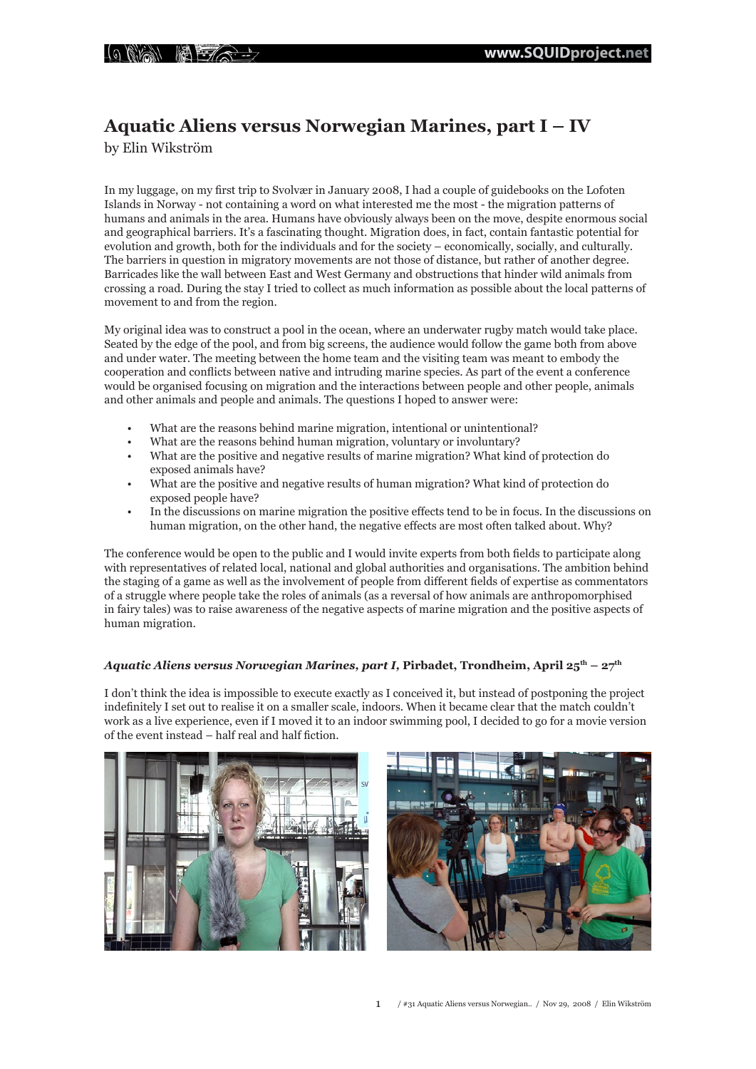# **Aquatic Aliens versus Norwegian Marines, part I – IV**

by Elin Wikström

In my luggage, on my first trip to Svolvær in January 2008, I had a couple of guidebooks on the Lofoten Islands in Norway - not containing a word on what interested me the most - the migration patterns of humans and animals in the area. Humans have obviously always been on the move, despite enormous social and geographical barriers. It's a fascinating thought. Migration does, in fact, contain fantastic potential for evolution and growth, both for the individuals and for the society – economically, socially, and culturally. The barriers in question in migratory movements are not those of distance, but rather of another degree. Barricades like the wall between East and West Germany and obstructions that hinder wild animals from crossing a road. During the stay I tried to collect as much information as possible about the local patterns of movement to and from the region.

My original idea was to construct a pool in the ocean, where an underwater rugby match would take place. Seated by the edge of the pool, and from big screens, the audience would follow the game both from above and under water. The meeting between the home team and the visiting team was meant to embody the cooperation and conflicts between native and intruding marine species. As part of the event a conference would be organised focusing on migration and the interactions between people and other people, animals and other animals and people and animals. The questions I hoped to answer were:

- What are the reasons behind marine migration, intentional or unintentional?
- What are the reasons behind human migration, voluntary or involuntary?
- What are the positive and negative results of marine migration? What kind of protection do exposed animals have?
- What are the positive and negative results of human migration? What kind of protection do exposed people have?
- In the discussions on marine migration the positive effects tend to be in focus. In the discussions on human migration, on the other hand, the negative effects are most often talked about. Why?

The conference would be open to the public and I would invite experts from both fields to participate along with representatives of related local, national and global authorities and organisations. The ambition behind the staging of a game as well as the involvement of people from different fields of expertise as commentators of a struggle where people take the roles of animals (as a reversal of how animals are anthropomorphised in fairy tales) was to raise awareness of the negative aspects of marine migration and the positive aspects of human migration.

# *Aquatic Aliens versus Norwegian Marines, part I, Pirbadet, Trondheim, April 25<sup>th</sup> – 27<sup>th</sup>*

I don't think the idea is impossible to execute exactly as I conceived it, but instead of postponing the project indefinitely I set out to realise it on a smaller scale, indoors. When it became clear that the match couldn't work as a live experience, even if I moved it to an indoor swimming pool, I decided to go for a movie version of the event instead – half real and half fiction.



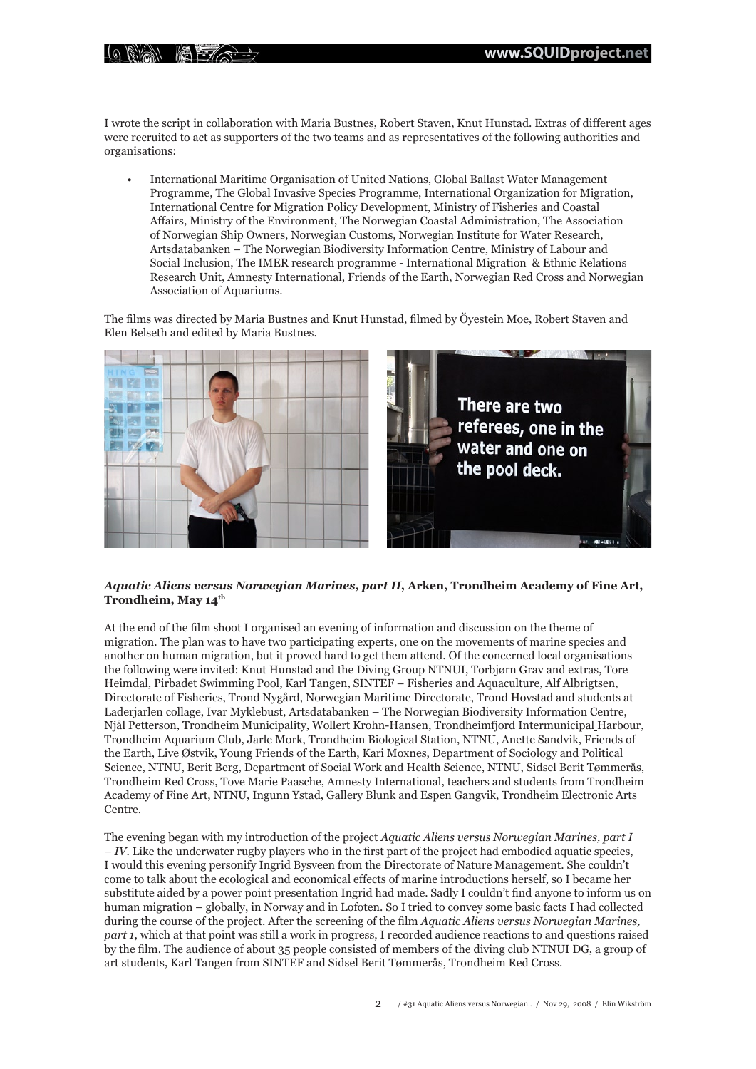$\frac{1}{2}$  (0) (1)  $\frac{1}{2}$  (1)  $\frac{1}{2}$  (1)  $\frac{1}{2}$  (1)  $\frac{1}{2}$ 

I wrote the script in collaboration with Maria Bustnes, Robert Staven, Knut Hunstad. Extras of different ages were recruited to act as supporters of the two teams and as representatives of the following authorities and organisations:

• International Maritime Organisation of United Nations, Global Ballast Water Management Programme, The Global Invasive Species Programme, International Organization for Migration, International Centre for Migration Policy Development, Ministry of Fisheries and Coastal Affairs, Ministry of the Environment, The Norwegian Coastal Administration, The Association of Norwegian Ship Owners, Norwegian Customs, Norwegian Institute for Water Research, Artsdatabanken – The Norwegian Biodiversity Information Centre, Ministry of Labour and Social Inclusion, The IMER research programme - International Migration & Ethnic Relations Research Unit, Amnesty International, Friends of the Earth, Norwegian Red Cross and Norwegian Association of Aquariums.

The films was directed by Maria Bustnes and Knut Hunstad, filmed by Öyestein Moe, Robert Staven and Elen Belseth and edited by Maria Bustnes.



### *Aquatic Aliens versus Norwegian Marines, part II***, Arken, Trondheim Academy of Fine Art, Trondheim, May 14th**

At the end of the film shoot I organised an evening of information and discussion on the theme of migration. The plan was to have two participating experts, one on the movements of marine species and another on human migration, but it proved hard to get them attend. Of the concerned local organisations the following were invited: Knut Hunstad and the Diving Group NTNUI, Torbjørn Grav and extras, Tore Heimdal, Pirbadet Swimming Pool, Karl Tangen, SINTEF – Fisheries and Aquaculture, Alf Albrigtsen, Directorate of Fisheries, Trond Nygård, Norwegian Maritime Directorate, Trond Hovstad and students at Laderjarlen collage, Ivar Myklebust, Artsdatabanken – The Norwegian Biodiversity Information Centre, Njål Petterson, Trondheim Municipality, Wollert Krohn-Hansen, Trondheimfjord Intermunicipal Harbour, Trondheim Aquarium Club, Jarle Mork, Trondheim Biological Station, NTNU, Anette Sandvik, Friends of the Earth, Live Østvik, Young Friends of the Earth, Kari Moxnes, Department of Sociology and Political Science, NTNU, Berit Berg, Department of Social Work and Health Science, NTNU, Sidsel Berit Tømmerås, Trondheim Red Cross, Tove Marie Paasche, Amnesty International, teachers and students from Trondheim Academy of Fine Art, NTNU, Ingunn Ystad, Gallery Blunk and Espen Gangvik, Trondheim Electronic Arts Centre.

The evening began with my introduction of the project *Aquatic Aliens versus Norwegian Marines, part I – IV*. Like the underwater rugby players who in the first part of the project had embodied aquatic species, I would this evening personify Ingrid Bysveen from the Directorate of Nature Management. She couldn't come to talk about the ecological and economical effects of marine introductions herself, so I became her substitute aided by a power point presentation Ingrid had made. Sadly I couldn't find anyone to inform us on human migration – globally, in Norway and in Lofoten. So I tried to convey some basic facts I had collected during the course of the project. After the screening of the film *Aquatic Aliens versus Norwegian Marines, part 1*, which at that point was still a work in progress, I recorded audience reactions to and questions raised by the film. The audience of about 35 people consisted of members of the diving club NTNUI DG, a group of art students, Karl Tangen from SINTEF and Sidsel Berit Tømmerås, Trondheim Red Cross.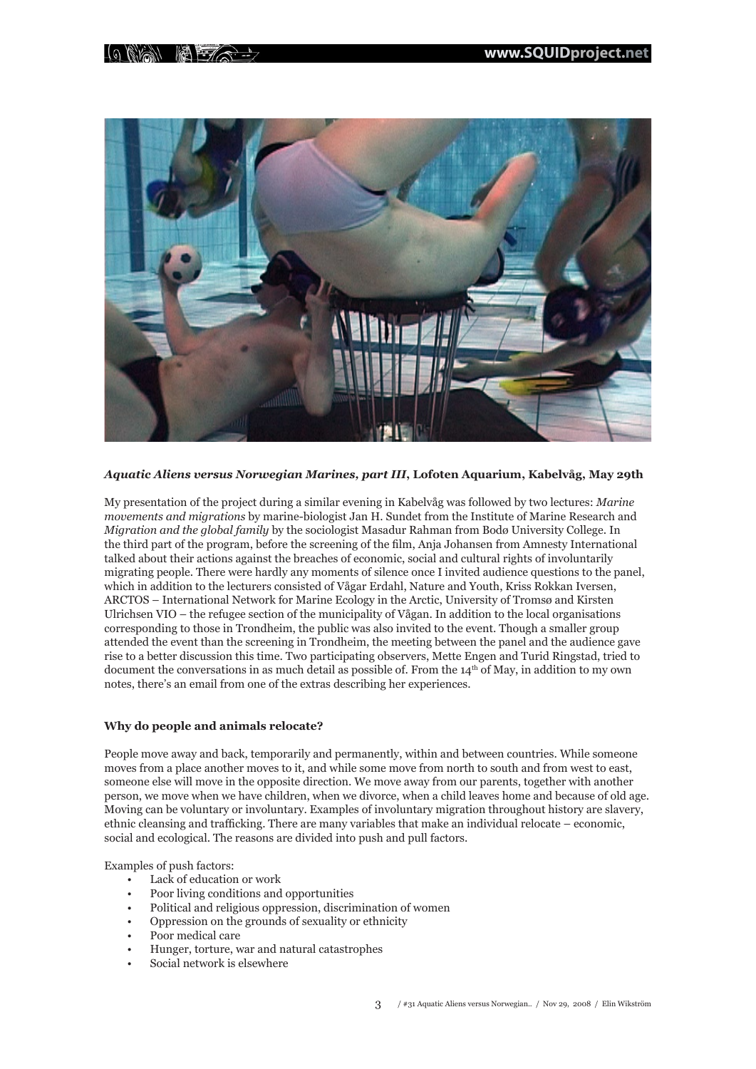# $\mathbb{C}$  and  $\mathbb{F}$   $\mathbb{Z}$   $\rightarrow$



# *Aquatic Aliens versus Norwegian Marines, part III***, Lofoten Aquarium, Kabelvåg, May 29th**

My presentation of the project during a similar evening in Kabelvåg was followed by two lectures: *Marine movements and migrations* by marine-biologist Jan H. Sundet from the Institute of Marine Research and *Migration and the global family* by the sociologist Masadur Rahman from Bodø University College. In the third part of the program, before the screening of the film, Anja Johansen from Amnesty International talked about their actions against the breaches of economic, social and cultural rights of involuntarily migrating people. There were hardly any moments of silence once I invited audience questions to the panel, which in addition to the lecturers consisted of Vågar Erdahl, Nature and Youth, Kriss Rokkan Iversen, ARCTOS – International Network for Marine Ecology in the Arctic, University of Tromsø and Kirsten Ulrichsen VIO – the refugee section of the municipality of Vågan. In addition to the local organisations corresponding to those in Trondheim, the public was also invited to the event. Though a smaller group attended the event than the screening in Trondheim, the meeting between the panel and the audience gave rise to a better discussion this time. Two participating observers, Mette Engen and Turid Ringstad, tried to document the conversations in as much detail as possible of. From the  $14<sup>th</sup>$  of May, in addition to my own notes, there's an email from one of the extras describing her experiences.

#### **Why do people and animals relocate?**

People move away and back, temporarily and permanently, within and between countries. While someone moves from a place another moves to it, and while some move from north to south and from west to east, someone else will move in the opposite direction. We move away from our parents, together with another person, we move when we have children, when we divorce, when a child leaves home and because of old age. Moving can be voluntary or involuntary. Examples of involuntary migration throughout history are slavery, ethnic cleansing and trafficking. There are many variables that make an individual relocate – economic, social and ecological. The reasons are divided into push and pull factors.

Examples of push factors:

- Lack of education or work
- Poor living conditions and opportunities
- Political and religious oppression, discrimination of women
- Oppression on the grounds of sexuality or ethnicity
- Poor medical care
- Hunger, torture, war and natural catastrophes
- Social network is elsewhere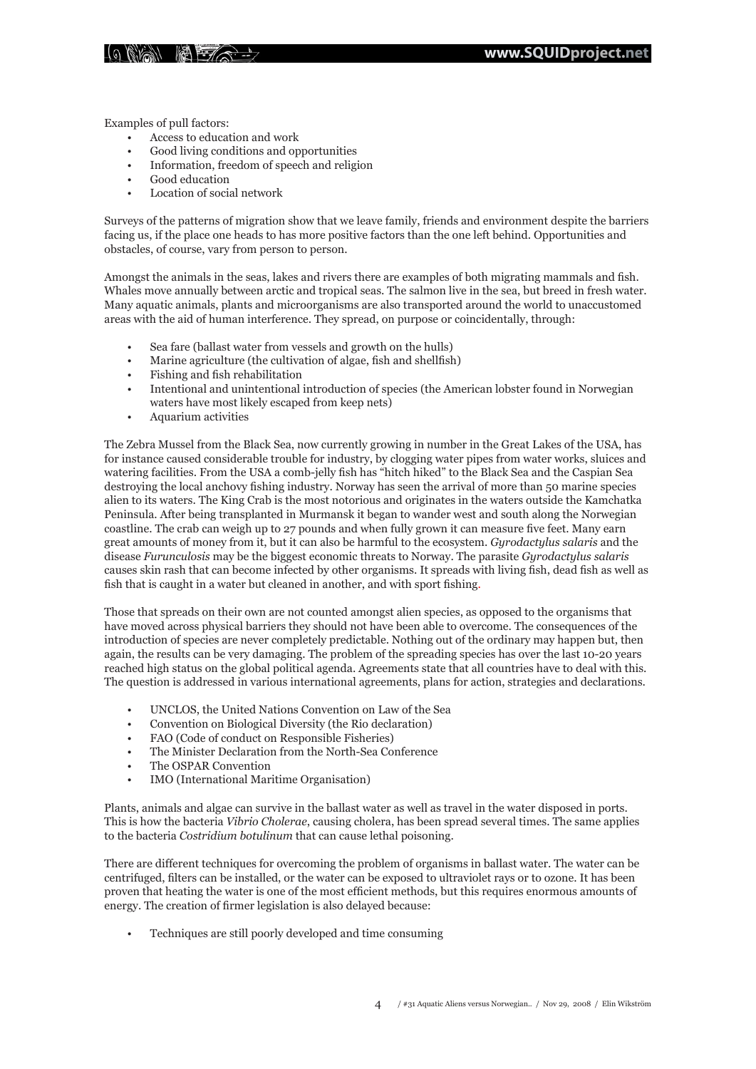

Examples of pull factors:

- Access to education and work
- Good living conditions and opportunities
- Information, freedom of speech and religion
- Good education
- Location of social network

Surveys of the patterns of migration show that we leave family, friends and environment despite the barriers facing us, if the place one heads to has more positive factors than the one left behind. Opportunities and obstacles, of course, vary from person to person.

Amongst the animals in the seas, lakes and rivers there are examples of both migrating mammals and fish. Whales move annually between arctic and tropical seas. The salmon live in the sea, but breed in fresh water. Many aquatic animals, plants and microorganisms are also transported around the world to unaccustomed areas with the aid of human interference. They spread, on purpose or coincidentally, through:

- Sea fare (ballast water from vessels and growth on the hulls)
- Marine agriculture (the cultivation of algae, fish and shellfish)
- Fishing and fish rehabilitation
- Intentional and unintentional introduction of species (the American lobster found in Norwegian waters have most likely escaped from keep nets)
- Aquarium activities

The Zebra Mussel from the Black Sea, now currently growing in number in the Great Lakes of the USA, has for instance caused considerable trouble for industry, by clogging water pipes from water works, sluices and watering facilities. From the USA a comb-jelly fish has "hitch hiked" to the Black Sea and the Caspian Sea destroying the local anchovy fishing industry. Norway has seen the arrival of more than 50 marine species alien to its waters. The King Crab is the most notorious and originates in the waters outside the Kamchatka Peninsula. After being transplanted in Murmansk it began to wander west and south along the Norwegian coastline. The crab can weigh up to 27 pounds and when fully grown it can measure five feet. Many earn great amounts of money from it, but it can also be harmful to the ecosystem. *Gyrodactylus salaris* and the disease *Furunculosis* may be the biggest economic threats to Norway. The parasite *Gyrodactylus salaris* causes skin rash that can become infected by other organisms. It spreads with living fish, dead fish as well as fish that is caught in a water but cleaned in another, and with sport fishing.

Those that spreads on their own are not counted amongst alien species, as opposed to the organisms that have moved across physical barriers they should not have been able to overcome. The consequences of the introduction of species are never completely predictable. Nothing out of the ordinary may happen but, then again, the results can be very damaging. The problem of the spreading species has over the last 10-20 years reached high status on the global political agenda. Agreements state that all countries have to deal with this. The question is addressed in various international agreements, plans for action, strategies and declarations.

- UNCLOS, the United Nations Convention on Law of the Sea
- Convention on Biological Diversity (the Rio declaration)
- FAO (Code of conduct on Responsible Fisheries)
- The Minister Declaration from the North-Sea Conference
- The OSPAR Convention
- IMO (International Maritime Organisation)

Plants, animals and algae can survive in the ballast water as well as travel in the water disposed in ports. This is how the bacteria *Vibrio Cholerae*, causing cholera, has been spread several times. The same applies to the bacteria *Costridium botulinum* that can cause lethal poisoning.

There are different techniques for overcoming the problem of organisms in ballast water. The water can be centrifuged, filters can be installed, or the water can be exposed to ultraviolet rays or to ozone. It has been proven that heating the water is one of the most efficient methods, but this requires enormous amounts of energy. The creation of firmer legislation is also delayed because:

• Techniques are still poorly developed and time consuming